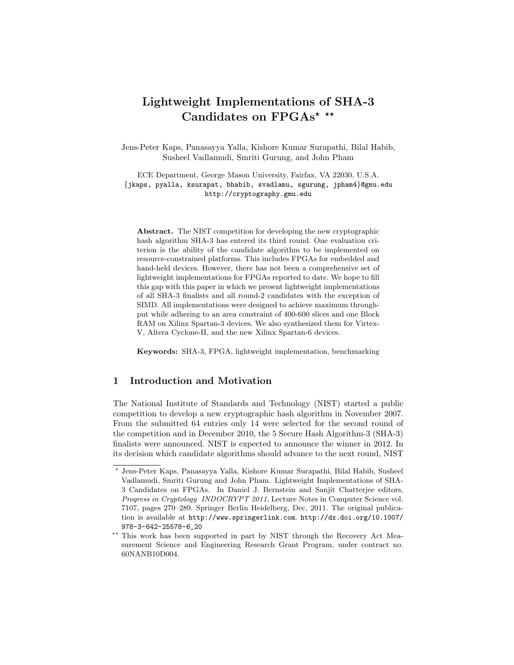# Lightweight Implementations of SHA-3 Candidates on  $\text{FPGAs}^{\star\;\star\star}$

Jens-Peter Kaps, Panasayya Yalla, Kishore Kumar Surapathi, Bilal Habib, Susheel Vadlamudi, Smriti Gurung, and John Pham

ECE Department, George Mason University, Fairfax, VA 22030, U.S.A. *{*jkaps, pyalla, ksurapat, bhabib, svadlamu, sgurung, jpham4*}*@gmu.edu http://cryptography.gmu.edu

Abstract. The NIST competition for developing the new cryptographic hash algorithm SHA-3 has entered its third round. One evaluation criterion is the ability of the candidate algorithm to be implemented on resource-constrained platforms. This includes FPGAs for embedded and hand-held devices. However, there has not been a comprehensive set of lightweight implementations for FPGAs reported to date. We hope to fill this gap with this paper in which we present lightweight implementations of all SHA-3 finalists and all round-2 candidates with the exception of SIMD. All implementations were designed to achieve maximum throughput while adhering to an area constraint of 400-600 slices and one Block RAM on Xilinx Spartan-3 devices. We also synthesized them for Virtex-V, Altera Cyclone-II, and the new Xilinx Spartan-6 devices.

Keywords: SHA-3, FPGA, lightweight implementation, benchmarking

# 1 Introduction and Motivation

The National Institute of Standards and Technology (NIST) started a public competition to develop a new cryptographic hash algorithm in November 2007. From the submitted 64 entries only 14 were selected for the second round of the competition and in December 2010, the 5 Secure Hash Algorithm-3 (SHA-3) finalists were announced. NIST is expected to announce the winner in 2012. In its decision which candidate algorithms should advance to the next round, NIST

<sup>⋆</sup> Jens-Peter Kaps, Panasayya Yalla, Kishore Kumar Surapathi, Bilal Habib, Susheel Vadlamudi, Smriti Gurung and John Pham. Lightweight Implementations of SHA-3 Candidates on FPGAs. In Daniel J. Bernstein and Sanjit Chatterjee editors, *Progress in Cryptology INDOCRYPT 2011*, Lecture Notes in Computer Science vol. 7107, pages 270–289. Springer Berlin Heidelberg, Dec, 2011. The original publication is available at http://www.springerlink.com. http://dx.doi.org/10.1007/ 978-3-642-25578-6\_20

<sup>\*\*</sup> This work has been supported in part by NIST through the Recovery Act Measurement Science and Engineering Research Grant Program, under contract no. 60NANB10D004.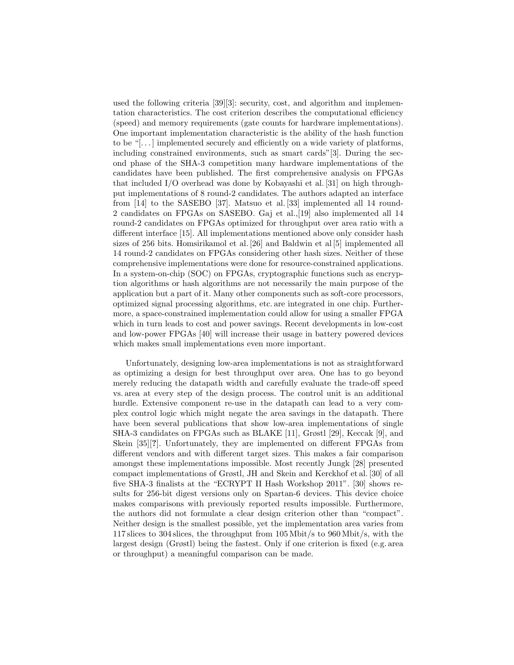used the following criteria [39][3]: security, cost, and algorithm and implementation characteristics. The cost criterion describes the computational efficiency (speed) and memory requirements (gate counts for hardware implementations). One important implementation characteristic is the ability of the hash function to be " $\dots$ ] implemented securely and efficiently on a wide variety of platforms, including constrained environments, such as smart cards"[3]. During the second phase of the SHA-3 competition many hardware implementations of the candidates have been published. The first comprehensive analysis on FPGAs that included I/O overhead was done by Kobayashi et al. [31] on high throughput implementations of 8 round-2 candidates. The authors adapted an interface from [14] to the SASEBO [37]. Matsuo et al. [33] implemented all 14 round-2 candidates on FPGAs on SASEBO. Gaj et al.,[19] also implemented all 14 round-2 candidates on FPGAs optimized for throughput over area ratio with a different interface [15]. All implementations mentioned above only consider hash sizes of 256 bits. Homsirikamol et al. [26] and Baldwin et al [5] implemented all 14 round-2 candidates on FPGAs considering other hash sizes. Neither of these comprehensive implementations were done for resource-constrained applications. In a system-on-chip (SOC) on FPGAs, cryptographic functions such as encryption algorithms or hash algorithms are not necessarily the main purpose of the application but a part of it. Many other components such as soft-core processors, optimized signal processing algorithms, etc. are integrated in one chip. Furthermore, a space-constrained implementation could allow for using a smaller FPGA which in turn leads to cost and power savings. Recent developments in low-cost and low-power FPGAs [40] will increase their usage in battery powered devices which makes small implementations even more important.

Unfortunately, designing low-area implementations is not as straightforward as optimizing a design for best throughput over area. One has to go beyond merely reducing the datapath width and carefully evaluate the trade-off speed vs. area at every step of the design process. The control unit is an additional hurdle. Extensive component re-use in the datapath can lead to a very complex control logic which might negate the area savings in the datapath. There have been several publications that show low-area implementations of single SHA-3 candidates on FPGAs such as BLAKE [11], Grøstl [29], Keccak [9], and Skein [35][?]. Unfortunately, they are implemented on different FPGAs from different vendors and with different target sizes. This makes a fair comparison amongst these implementations impossible. Most recently Jungk [28] presented compact implementations of Grøstl, JH and Skein and Kerckhof et al. [30] of all five SHA-3 finalists at the "ECRYPT II Hash Workshop 2011". [30] shows results for 256-bit digest versions only on Spartan-6 devices. This device choice makes comparisons with previously reported results impossible. Furthermore, the authors did not formulate a clear design criterion other than "compact". Neither design is the smallest possible, yet the implementation area varies from 117 slices to 304 slices, the throughput from 105 Mbit/s to 960 Mbit/s, with the largest design (Grøstl) being the fastest. Only if one criterion is fixed (e.g. area or throughput) a meaningful comparison can be made.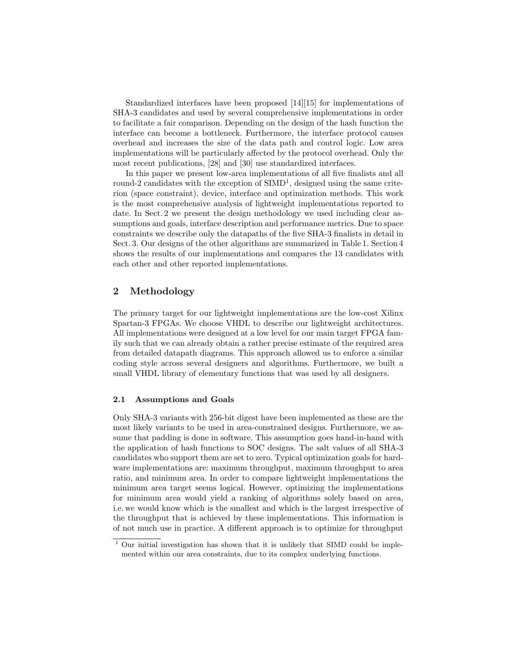Standardized interfaces have been proposed [14][15] for implementations of SHA-3 candidates and used by several comprehensive implementations in order to facilitate a fair comparison. Depending on the design of the hash function the interface can become a bottleneck. Furthermore, the interface protocol causes overhead and increases the size of the data path and control logic. Low area implementations will be particularly affected by the protocol overhead. Only the most recent publications, [28] and [30] use standardized interfaces.

In this paper we present low-area implementations of all five finalists and all round-2 candidates with the exception of  $SIMD<sup>1</sup>$ , designed using the same criterion (space constraint), device, interface and optimization methods. This work is the most comprehensive analysis of lightweight implementations reported to date. In Sect. 2 we present the design methodology we used including clear assumptions and goals, interface description and performance metrics. Due to space constraints we describe only the datapaths of the five SHA-3 finalists in detail in Sect. 3. Our designs of the other algorithms are summarized in Table 1. Section 4 shows the results of our implementations and compares the 13 candidates with each other and other reported implementations.

# 2 Methodology

The primary target for our lightweight implementations are the low-cost Xilinx Spartan-3 FPGAs. We choose VHDL to describe our lightweight architectures. All implementations were designed at a low level for our main target FPGA family such that we can already obtain a rather precise estimate of the required area from detailed datapath diagrams. This approach allowed us to enforce a similar coding style across several designers and algorithms. Furthermore, we built a small VHDL library of elementary functions that was used by all designers.

#### 2.1 Assumptions and Goals

Only SHA-3 variants with 256-bit digest have been implemented as these are the most likely variants to be used in area-constrained designs. Furthermore, we assume that padding is done in software. This assumption goes hand-in-hand with the application of hash functions to SOC designs. The salt values of all SHA-3 candidates who support them are set to zero. Typical optimization goals for hardware implementations are: maximum throughput, maximum throughput to area ratio, and minimum area. In order to compare lightweight implementations the minimum area target seems logical. However, optimizing the implementations for minimum area would yield a ranking of algorithms solely based on area, i.e. we would know which is the smallest and which is the largest irrespective of the throughput that is achieved by these implementations. This information is of not much use in practice. A different approach is to optimize for throughput

<sup>1</sup> Our initial investigation has shown that it is unlikely that SIMD could be implemented within our area constraints, due to its complex underlying functions.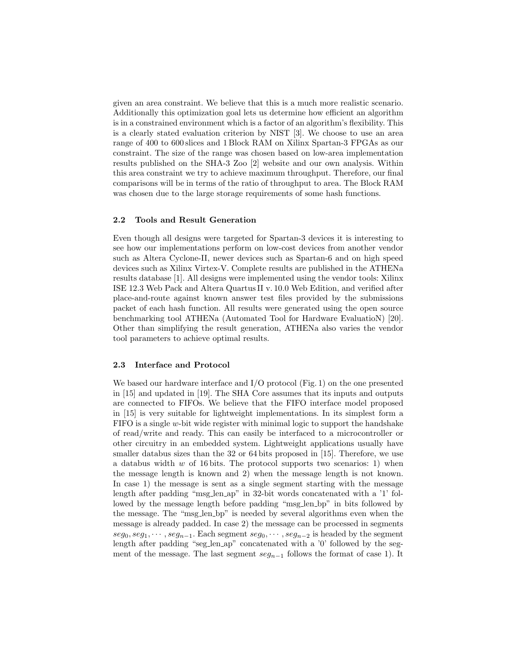given an area constraint. We believe that this is a much more realistic scenario. Additionally this optimization goal lets us determine how efficient an algorithm is in a constrained environment which is a factor of an algorithm's flexibility. This is a clearly stated evaluation criterion by NIST [3]. We choose to use an area range of 400 to 600 slices and 1 Block RAM on Xilinx Spartan-3 FPGAs as our constraint. The size of the range was chosen based on low-area implementation results published on the SHA-3 Zoo [2] website and our own analysis. Within this area constraint we try to achieve maximum throughput. Therefore, our final comparisons will be in terms of the ratio of throughput to area. The Block RAM was chosen due to the large storage requirements of some hash functions.

#### 2.2 Tools and Result Generation

Even though all designs were targeted for Spartan-3 devices it is interesting to see how our implementations perform on low-cost devices from another vendor such as Altera Cyclone-II, newer devices such as Spartan-6 and on high speed devices such as Xilinx Virtex-V. Complete results are published in the ATHENa results database [1]. All designs were implemented using the vendor tools: Xilinx ISE 12.3 Web Pack and Altera Quartus II v. 10.0 Web Edition, and verified after place-and-route against known answer test files provided by the submissions packet of each hash function. All results were generated using the open source benchmarking tool ATHENa (Automated Tool for Hardware EvaluatioN) [20]. Other than simplifying the result generation, ATHENa also varies the vendor tool parameters to achieve optimal results.

## 2.3 Interface and Protocol

We based our hardware interface and I/O protocol (Fig. 1) on the one presented in [15] and updated in [19]. The SHA Core assumes that its inputs and outputs are connected to FIFOs. We believe that the FIFO interface model proposed in [15] is very suitable for lightweight implementations. In its simplest form a FIFO is a single *w*-bit wide register with minimal logic to support the handshake of read/write and ready. This can easily be interfaced to a microcontroller or other circuitry in an embedded system. Lightweight applications usually have smaller databus sizes than the 32 or 64 bits proposed in [15]. Therefore, we use a databus width *w* of 16 bits. The protocol supports two scenarios: 1) when the message length is known and 2) when the message length is not known. In case 1) the message is sent as a single segment starting with the message length after padding "msg len ap" in 32-bit words concatenated with a '1' followed by the message length before padding "msg<sub>-len-bp</sub>" in bits followed by the message. The "msg len bp" is needed by several algorithms even when the message is already padded. In case 2) the message can be processed in segments  $seg_0, seg_1, \cdots, seg_{n-1}$ . Each segment  $seg_0, \cdots, seg_{n-2}$  is headed by the segment length after padding "seg\_len\_ap" concatenated with a '0' followed by the segment of the message. The last segment *seg<sup>n</sup>*−<sup>1</sup> follows the format of case 1). It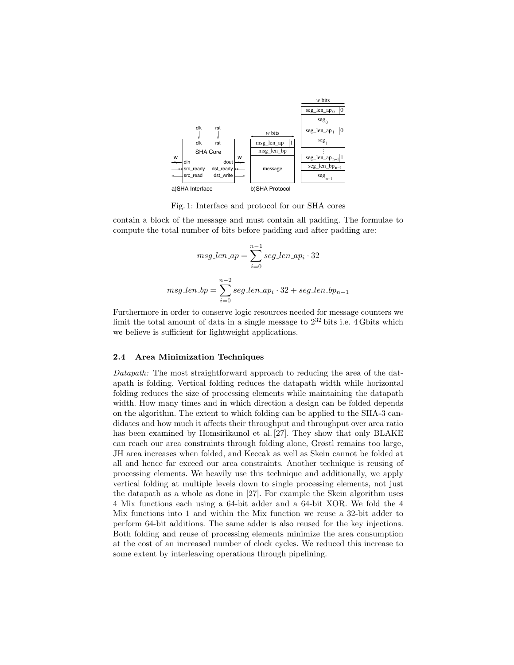

Fig. 1: Interface and protocol for our SHA cores

contain a block of the message and must contain all padding. The formulae to compute the total number of bits before padding and after padding are:

$$
msg\_len\_ap = \sum_{i=0}^{n-1} seg\_len\_ap_i \cdot 32
$$

$$
msg\_len\_bp = \sum_{i=0}^{n-2} seg\_len\_ap_i \cdot 32 + seg\_len\_bp_{n-1}
$$

Furthermore in order to conserve logic resources needed for message counters we limit the total amount of data in a single message to  $2^{32}$  bits i.e. 4 Gbits which we believe is sufficient for lightweight applications.

#### 2.4 Area Minimization Techniques

*Datapath:* The most straightforward approach to reducing the area of the datapath is folding. Vertical folding reduces the datapath width while horizontal folding reduces the size of processing elements while maintaining the datapath width. How many times and in which direction a design can be folded depends on the algorithm. The extent to which folding can be applied to the SHA-3 candidates and how much it affects their throughput and throughput over area ratio has been examined by Homsirikamol et al. [27]. They show that only BLAKE can reach our area constraints through folding alone, Grøstl remains too large, JH area increases when folded, and Keccak as well as Skein cannot be folded at all and hence far exceed our area constraints. Another technique is reusing of processing elements. We heavily use this technique and additionally, we apply vertical folding at multiple levels down to single processing elements, not just the datapath as a whole as done in [27]. For example the Skein algorithm uses 4 Mix functions each using a 64-bit adder and a 64-bit XOR. We fold the 4 Mix functions into 1 and within the Mix function we reuse a 32-bit adder to perform 64-bit additions. The same adder is also reused for the key injections. Both folding and reuse of processing elements minimize the area consumption at the cost of an increased number of clock cycles. We reduced this increase to some extent by interleaving operations through pipelining.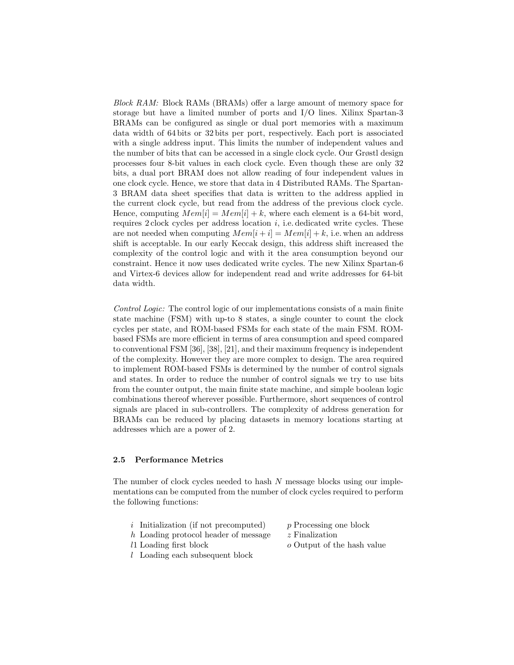*Block RAM:* Block RAMs (BRAMs) offer a large amount of memory space for storage but have a limited number of ports and I/O lines. Xilinx Spartan-3 BRAMs can be configured as single or dual port memories with a maximum data width of 64 bits or 32 bits per port, respectively. Each port is associated with a single address input. This limits the number of independent values and the number of bits that can be accessed in a single clock cycle. Our Grøstl design processes four 8-bit values in each clock cycle. Even though these are only 32 bits, a dual port BRAM does not allow reading of four independent values in one clock cycle. Hence, we store that data in 4 Distributed RAMs. The Spartan-3 BRAM data sheet specifies that data is written to the address applied in the current clock cycle, but read from the address of the previous clock cycle. Hence, computing  $Mem[i] = Mem[i] + k$ , where each element is a 64-bit word, requires 2 clock cycles per address location *i*, i.e. dedicated write cycles. These are not needed when computing  $Mem[i + i] = Mem[i] + k$ , i.e. when an address shift is acceptable. In our early Keccak design, this address shift increased the complexity of the control logic and with it the area consumption beyond our constraint. Hence it now uses dedicated write cycles. The new Xilinx Spartan-6 and Virtex-6 devices allow for independent read and write addresses for 64-bit data width.

*Control Logic:* The control logic of our implementations consists of a main finite state machine (FSM) with up-to 8 states, a single counter to count the clock cycles per state, and ROM-based FSMs for each state of the main FSM. ROMbased FSMs are more efficient in terms of area consumption and speed compared to conventional FSM [36], [38], [21], and their maximum frequency is independent of the complexity. However they are more complex to design. The area required to implement ROM-based FSMs is determined by the number of control signals and states. In order to reduce the number of control signals we try to use bits from the counter output, the main finite state machine, and simple boolean logic combinations thereof wherever possible. Furthermore, short sequences of control signals are placed in sub-controllers. The complexity of address generation for BRAMs can be reduced by placing datasets in memory locations starting at addresses which are a power of 2.

## 2.5 Performance Metrics

The number of clock cycles needed to hash *N* message blocks using our implementations can be computed from the number of clock cycles required to perform the following functions:

- *i* Initialization (if not precomputed) *p* Processing one block
- 
- *h* Loading protocol header of message *z* Finalization
	-
- 
- *l* Loading each subsequent block
- *l*1 Loading first block *o* Output of the hash value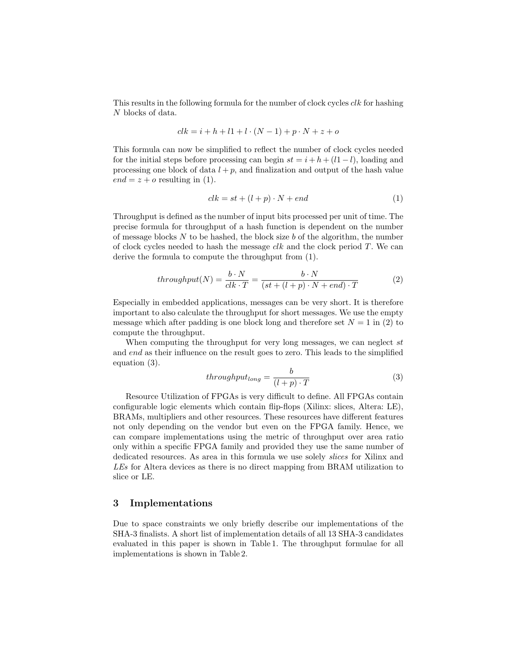This results in the following formula for the number of clock cycles *clk* for hashing *N* blocks of data.

$$
clk = i + h + l1 + l \cdot (N - 1) + p \cdot N + z + o
$$

This formula can now be simplified to reflect the number of clock cycles needed for the initial steps before processing can begin  $st = i + h + (l1 - l)$ , loading and processing one block of data  $l + p$ , and finalization and output of the hash value  $end = z + o$  resulting in (1).

$$
clk = st + (l + p) \cdot N + end \tag{1}
$$

Throughput is defined as the number of input bits processed per unit of time. The precise formula for throughput of a hash function is dependent on the number of message blocks *N* to be hashed, the block size *b* of the algorithm, the number of clock cycles needed to hash the message *clk* and the clock period *T*. We can derive the formula to compute the throughput from (1).

$$
throughput(N) = \frac{b \cdot N}{clk \cdot T} = \frac{b \cdot N}{(st + (l + p) \cdot N + end) \cdot T}
$$
 (2)

Especially in embedded applications, messages can be very short. It is therefore important to also calculate the throughput for short messages. We use the empty message which after padding is one block long and therefore set  $N = 1$  in (2) to compute the throughput.

When computing the throughput for very long messages, we can neglect *st* and *end* as their influence on the result goes to zero. This leads to the simplified equation (3).

$$
throughput_{long} = \frac{b}{(l+p) \cdot T}
$$
 (3)

Resource Utilization of FPGAs is very difficult to define. All FPGAs contain configurable logic elements which contain flip-flops (Xilinx: slices, Altera: LE), BRAMs, multipliers and other resources. These resources have different features not only depending on the vendor but even on the FPGA family. Hence, we can compare implementations using the metric of throughput over area ratio only within a specific FPGA family and provided they use the same number of dedicated resources. As area in this formula we use solely *slices* for Xilinx and *LEs* for Altera devices as there is no direct mapping from BRAM utilization to slice or LE.

## 3 Implementations

Due to space constraints we only briefly describe our implementations of the SHA-3 finalists. A short list of implementation details of all 13 SHA-3 candidates evaluated in this paper is shown in Table 1. The throughput formulae for all implementations is shown in Table 2.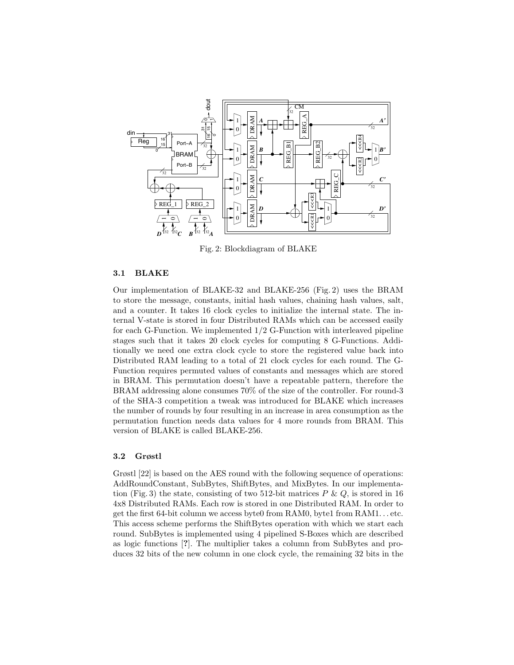

Fig. 2: Blockdiagram of BLAKE

## 3.1 BLAKE

Our implementation of BLAKE-32 and BLAKE-256 (Fig. 2) uses the BRAM to store the message, constants, initial hash values, chaining hash values, salt, and a counter. It takes 16 clock cycles to initialize the internal state. The internal V-state is stored in four Distributed RAMs which can be accessed easily for each G-Function. We implemented 1/2 G-Function with interleaved pipeline stages such that it takes 20 clock cycles for computing 8 G-Functions. Additionally we need one extra clock cycle to store the registered value back into Distributed RAM leading to a total of 21 clock cycles for each round. The G-Function requires permuted values of constants and messages which are stored in BRAM. This permutation doesn't have a repeatable pattern, therefore the BRAM addressing alone consumes 70% of the size of the controller. For round-3 of the SHA-3 competition a tweak was introduced for BLAKE which increases the number of rounds by four resulting in an increase in area consumption as the permutation function needs data values for 4 more rounds from BRAM. This version of BLAKE is called BLAKE-256.

## 3.2 Grøstl

Grøstl [22] is based on the AES round with the following sequence of operations: AddRoundConstant, SubBytes, ShiftBytes, and MixBytes. In our implementation (Fig. 3) the state, consisting of two 512-bit matrices  $P \& Q$ , is stored in 16 4x8 Distributed RAMs. Each row is stored in one Distributed RAM. In order to get the first 64-bit column we access byte0 from RAM0, byte1 from RAM1. . . etc. This access scheme performs the ShiftBytes operation with which we start each round. SubBytes is implemented using 4 pipelined S-Boxes which are described as logic functions [?]. The multiplier takes a column from SubBytes and produces 32 bits of the new column in one clock cycle, the remaining 32 bits in the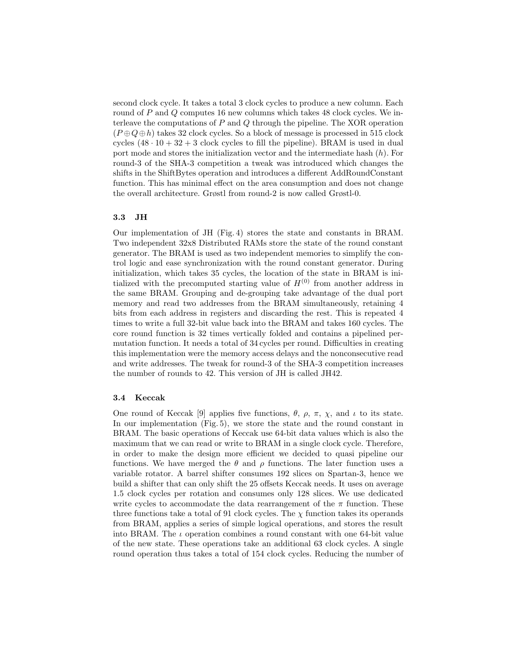second clock cycle. It takes a total 3 clock cycles to produce a new column. Each round of *P* and *Q* computes 16 new columns which takes 48 clock cycles. We interleave the computations of *P* and *Q* through the pipeline. The XOR operation  $(P \oplus Q \oplus h)$  takes 32 clock cycles. So a block of message is processed in 515 clock cycles  $(48 \cdot 10 + 32 + 3$  clock cycles to fill the pipeline). BRAM is used in dual port mode and stores the initialization vector and the intermediate hash (*h*). For round-3 of the SHA-3 competition a tweak was introduced which changes the shifts in the ShiftBytes operation and introduces a different AddRoundConstant function. This has minimal effect on the area consumption and does not change the overall architecture. Grøstl from round-2 is now called Grøstl-0.

## 3.3 JH

Our implementation of JH (Fig. 4) stores the state and constants in BRAM. Two independent 32x8 Distributed RAMs store the state of the round constant generator. The BRAM is used as two independent memories to simplify the control logic and ease synchronization with the round constant generator. During initialization, which takes 35 cycles, the location of the state in BRAM is initialized with the precomputed starting value of  $H^{(0)}$  from another address in the same BRAM. Grouping and de-grouping take advantage of the dual port memory and read two addresses from the BRAM simultaneously, retaining 4 bits from each address in registers and discarding the rest. This is repeated 4 times to write a full 32-bit value back into the BRAM and takes 160 cycles. The core round function is 32 times vertically folded and contains a pipelined permutation function. It needs a total of 34 cycles per round. Difficulties in creating this implementation were the memory access delays and the nonconsecutive read and write addresses. The tweak for round-3 of the SHA-3 competition increases the number of rounds to 42. This version of JH is called JH42.

#### 3.4 Keccak

One round of Keccak [9] applies five functions,  $\theta$ ,  $\rho$ ,  $\pi$ ,  $\chi$ , and  $\iota$  to its state. In our implementation (Fig. 5), we store the state and the round constant in BRAM. The basic operations of Keccak use 64-bit data values which is also the maximum that we can read or write to BRAM in a single clock cycle. Therefore, in order to make the design more efficient we decided to quasi pipeline our functions. We have merged the  $\theta$  and  $\rho$  functions. The later function uses a variable rotator. A barrel shifter consumes 192 slices on Spartan-3, hence we build a shifter that can only shift the 25 offsets Keccak needs. It uses on average 1.5 clock cycles per rotation and consumes only 128 slices. We use dedicated write cycles to accommodate the data rearrangement of the  $\pi$  function. These three functions take a total of 91 clock cycles. The  $\chi$  function takes its operands from BRAM, applies a series of simple logical operations, and stores the result into BRAM. The  $\iota$  operation combines a round constant with one 64-bit value of the new state. These operations take an additional 63 clock cycles. A single round operation thus takes a total of 154 clock cycles. Reducing the number of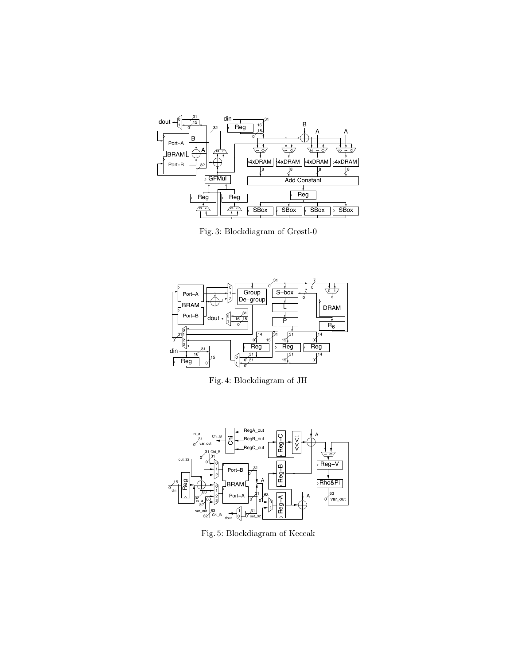

Fig. 3: Blockdiagram of Grøstl-0



Fig. 4: Blockdiagram of JH



Fig. 5: Blockdiagram of Keccak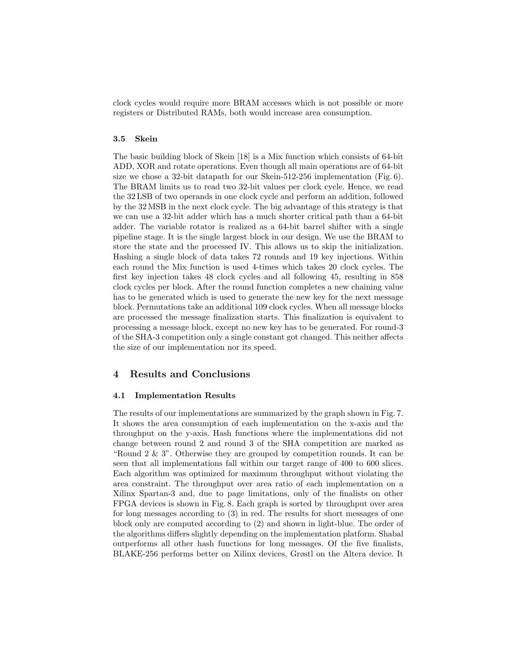clock cycles would require more BRAM accesses which is not possible or more registers or Distributed RAMs, both would increase area consumption.

#### 3.5 Skein

The basic building block of Skein [18] is a Mix function which consists of 64-bit ADD, XOR and rotate operations. Even though all main operations are of 64-bit size we chose a 32-bit datapath for our Skein-512-256 implementation (Fig. 6). The BRAM limits us to read two 32-bit values per clock cycle. Hence, we read the 32 LSB of two operands in one clock cycle and perform an addition, followed by the 32 MSB in the next clock cycle. The big advantage of this strategy is that we can use a 32-bit adder which has a much shorter critical path than a 64-bit adder. The variable rotator is realized as a 64-bit barrel shifter with a single pipeline stage. It is the single largest block in our design. We use the BRAM to store the state and the processed IV. This allows us to skip the initialization. Hashing a single block of data takes 72 rounds and 19 key injections. Within each round the Mix function is used 4-times which takes 20 clock cycles. The first key injection takes 48 clock cycles and all following 45, resulting in 858 clock cycles per block. After the round function completes a new chaining value has to be generated which is used to generate the new key for the next message block. Permutations take an additional 109 clock cycles. When all message blocks are processed the message finalization starts. This finalization is equivalent to processing a message block, except no new key has to be generated. For round-3 of the SHA-3 competition only a single constant got changed. This neither affects the size of our implementation nor its speed.

## 4 Results and Conclusions

#### 4.1 Implementation Results

The results of our implementations are summarized by the graph shown in Fig. 7. It shows the area consumption of each implementation on the x-axis and the throughput on the y-axis. Hash functions where the implementations did not change between round 2 and round 3 of the SHA competition are marked as "Round 2 & 3". Otherwise they are grouped by competition rounds. It can be seen that all implementations fall within our target range of 400 to 600 slices. Each algorithm was optimized for maximum throughput without violating the area constraint. The throughput over area ratio of each implementation on a Xilinx Spartan-3 and, due to page limitations, only of the finalists on other FPGA devices is shown in Fig. 8. Each graph is sorted by throughput over area for long messages according to (3) in red. The results for short messages of one block only are computed according to (2) and shown in light-blue. The order of the algorithms differs slightly depending on the implementation platform. Shabal outperforms all other hash functions for long messages. Of the five finalists, BLAKE-256 performs better on Xilinx devices, Grøstl on the Altera device. It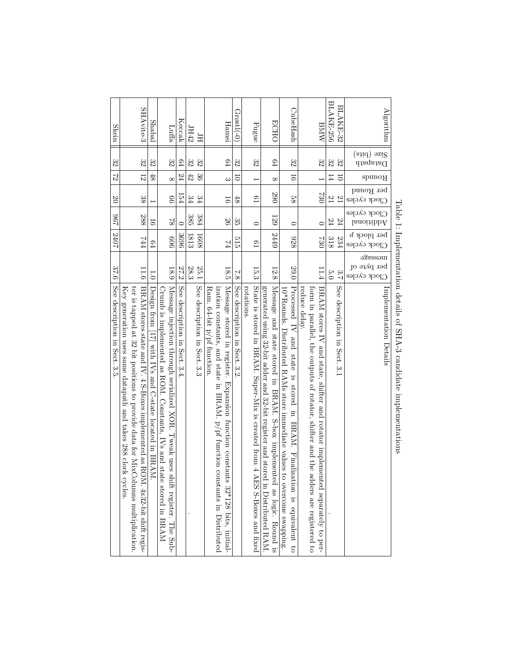| See description in Sect. 3.5.                                                                                 | 37.6                   | 2407                                  | 296                              | $\overline{0}$            | $\mathbb{Z}$   | 32                                     | Skein            |
|---------------------------------------------------------------------------------------------------------------|------------------------|---------------------------------------|----------------------------------|---------------------------|----------------|----------------------------------------|------------------|
| Key generation uses same datapath and takes 288 clock cycles                                                  |                        |                                       |                                  |                           |                |                                        |                  |
| ter is tapped at 32 bit positions to provide data for MixColumns multiplication                               |                        |                                       |                                  |                           |                |                                        |                  |
| BRAM stores state and IV. 4 S-Boxes implemented as R(<br>M. 4x32-bit shift regis-                             | 11.6                   | FFL                                   | 288                              | 38                        | $\overline{2}$ | 32                                     | SHAvite-3        |
| $\overline{0}$<br>Design from [17] with IVs and C-state located in BRAN.                                      |                        | 64                                    | 50                               |                           | 48             | 32                                     | Shabal           |
| Crumb is implemented as ROM. Constants, IVs and state stored in BRAM                                          |                        |                                       |                                  |                           |                |                                        |                  |
| Message injection through serialized XOR. Tweak uses<br>shift register. The Sub-                              | 18.9                   | 909                                   | $\infty$                         | 99                        | $\infty$       | 32                                     | Luffa            |
| See description in<br>Sect. 3.4                                                                               | 27.2                   | 3696                                  | $\circ$                          | 154                       | 24             | $\mathbb{P}^1$                         | Keccak           |
|                                                                                                               | 28.3                   | 1813                                  | 385                              | $\approx 4$               | 42             | 32                                     | IH42             |
| See description in Sect. 3.3                                                                                  | 25.1                   | 1608                                  | $384\,$                          | $\frac{34}{3}$            | $\Im$          | 32                                     | Ηſ               |
| Ram. $64$ -bit $p$ /pf function.                                                                              |                        |                                       |                                  |                           |                |                                        |                  |
| ization constants, and state<br>in BRAM. p/pf function constants in Distributed                               |                        |                                       |                                  |                           |                |                                        |                  |
| Message stored in register. Expansion function constants 32*128 bits, initial-                                | 18.5                   | $\overline{\mathcal{V}}$              | $\overline{56}$                  | 50                        | $\infty$       | 64                                     | Hamsı            |
| $\overline{7.8}$<br>See description in Sect. 3.2                                                              |                        | 515                                   | 33                               | 48                        | $\overline{0}$ | 32                                     | $G$ røstl $(-0)$ |
| rotations.                                                                                                    |                        |                                       |                                  |                           |                |                                        |                  |
| State is stored in BRAM. Super-Mix is created from 4<br>AES S-Boxes and fixed                                 | 15.3                   | $_{19}$                               | $\circ$                          | $_{01}$                   | I              | 32                                     | ${\rm Flag}$     |
| generated using 32-bit adder and 32-bit register and stored in Distributed RAM                                |                        |                                       |                                  |                           |                |                                        |                  |
| Message and state stored in BRAM. S-box implemented as logic. Round is                                        | 12.8                   | 2449                                  | 129                              | 290                       | $\infty$       | 64                                     | <b>ECHO</b>      |
| $0*$ Rounds. Distributed RAMs store immediate values<br>to overcome swapping.                                 |                        |                                       |                                  |                           |                |                                        |                  |
| Processed IV<br>and state<br>$\ddot{S}$<br>stored<br>$\overline{u}$<br>BRAM.<br>Finalization is equivalent to | 29.0                   | 838                                   | $\circ$                          | 88                        | $\overline{5}$ | 32                                     | CubeHash         |
| reduce delay.                                                                                                 |                        |                                       |                                  |                           |                |                                        |                  |
| form in parallel, the outputs of rotator, shifter and the<br>adders are registered to                         |                        |                                       |                                  |                           |                |                                        |                  |
| BRAN scorses IV and state, shifter and rotato implemented separately to per-                                  | 11.4                   | <b>C30</b>                            | $\circ$                          | 230                       |                | 32                                     | BMW              |
| 5.0                                                                                                           |                        | 318                                   | 24                               | $^{12}$                   | 14             | 32                                     | BLAKE-256        |
| 2.7<br>See description in Sect. 3.1                                                                           |                        | 234                                   | F <sub>2</sub>                   | 12                        | $\overline{0}$ | 32                                     | BLAKE-32         |
| Clock cycles                                                                                                  | message<br>per byte of | ber pjock $\mathfrak b$<br>Сюск сусев | Clock cycles<br>$l$ anoitibb $A$ | per Round<br>Clock cycles | Rounds         | (atid) əsi <sup>g</sup><br>$D$ atapath |                  |
| Implementation Details                                                                                        |                        |                                       |                                  |                           |                |                                        | Algorithm        |

Table 1:

Implementation

details of SHA-3

candidate

implementations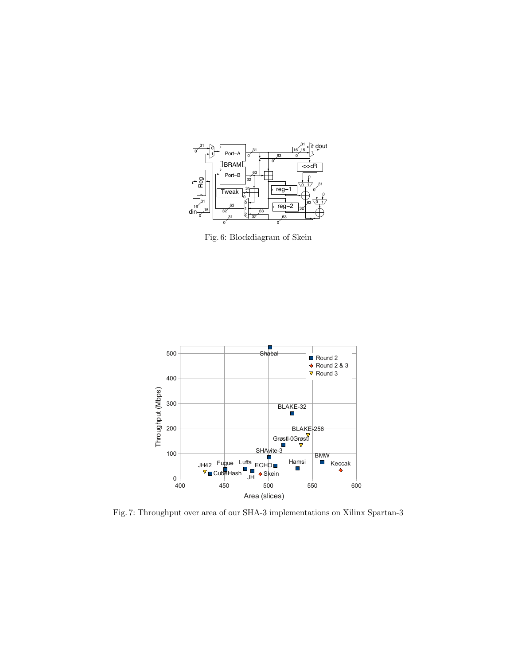

Fig. 6: Blockdiagram of Skein



Fig. 7: Throughput over area of our SHA-3 implementations on Xilinx Spartan-3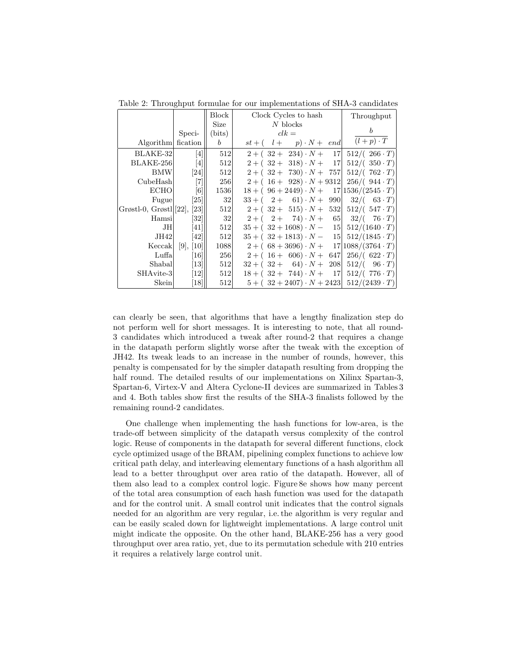|                             |                   | <b>Block</b>  | Clock Cycles to hash                                  | Throughput               |
|-----------------------------|-------------------|---------------|-------------------------------------------------------|--------------------------|
|                             |                   | Size          | $N$ blocks                                            |                          |
|                             | Speci-            | (bits)        | $clk =$                                               |                          |
| Algorithm fication          |                   | $\mathfrak b$ | $st + (l + p) \cdot N + end$                          | $(l+p)\cdot T$           |
| BLAKE-32                    | [4]               | 512           | $2 + (32 + 234) \cdot N + 17$                         | $512/((266 \cdot T))$    |
| BLAKE-256                   | [4]               | 512           | $2 + (32 + 318) \cdot N + 17$                         | $512/(.350 \cdot T)$     |
| <b>BMW</b>                  | [24]              | 512           | $2 + (32 + 730) \cdot N + 757$                        | $512/((762 \cdot T))$    |
| CubeHash                    | $[7]$             | 256           | $2 + (16 + 928) \cdot N + 9312$ $256/ (944 \cdot T)$  |                          |
| <b>ECHO</b>                 | $\lceil 6 \rceil$ | 1536          | $18 + (96 + 2449) \cdot N +$                          | $17 1536/(2545 \cdot T)$ |
| Fugue                       | [25]              | 32            | $33 + (2 + 61) \cdot N +$<br>990                      | $32/(-63 \cdot T)$       |
| Grøstl-0, Grøstl [22], [23] |                   | 512           | $2 + (32 + 515) \cdot N + 532$                        | $512/(.547 \cdot T)$     |
| Hamsi                       | [32]              | $32\,$        | $2+(-2+74)\cdot N+65$                                 | $32/(-76 \cdot T)$       |
| JH                          | 41                | 512           | $35 + (32 + 1608) \cdot N - 15$                       | $512/(1640 \cdot T)$     |
| JH42                        | [42]              | 512           | $35 + (32 + 1813) \cdot N - 15$                       | $512/(1845 \cdot T)$     |
| Keccak                      | [9], [10]         | 1088          | $2 + (68 + 3696) \cdot N + 17 1088/(3764 \cdot T)$    |                          |
| Luffa                       | [16]              | 256           | $2 + (16 + 606) \cdot N +$<br>647                     | $256/(622 \cdot T)$      |
| Shabal                      | $\left[13\right]$ | 512           | $32 + (32 + 64) \cdot N +$<br>208                     | $512/(-96 \cdot T)$      |
| SHAvite-3                   | [12]              | 512           | $18 + (32 + 744) \cdot N + 17$ 512/(776 · T)          |                          |
| Skein                       | [18]              | 512           | $5 + (32 + 2407) \cdot N + 2423$ $512/(2439 \cdot T)$ |                          |

Table 2: Throughput formulae for our implementations of SHA-3 candidates

can clearly be seen, that algorithms that have a lengthy finalization step do not perform well for short messages. It is interesting to note, that all round-3 candidates which introduced a tweak after round-2 that requires a change in the datapath perform slightly worse after the tweak with the exception of JH42. Its tweak leads to an increase in the number of rounds, however, this penalty is compensated for by the simpler datapath resulting from dropping the half round. The detailed results of our implementations on Xilinx Spartan-3, Spartan-6, Virtex-V and Altera Cyclone-II devices are summarized in Tables 3 and 4. Both tables show first the results of the SHA-3 finalists followed by the remaining round-2 candidates.

One challenge when implementing the hash functions for low-area, is the trade-off between simplicity of the datapath versus complexity of the control logic. Reuse of components in the datapath for several different functions, clock cycle optimized usage of the BRAM, pipelining complex functions to achieve low critical path delay, and interleaving elementary functions of a hash algorithm all lead to a better throughput over area ratio of the datapath. However, all of them also lead to a complex control logic. Figure 8e shows how many percent of the total area consumption of each hash function was used for the datapath and for the control unit. A small control unit indicates that the control signals needed for an algorithm are very regular, i.e. the algorithm is very regular and can be easily scaled down for lightweight implementations. A large control unit might indicate the opposite. On the other hand, BLAKE-256 has a very good throughput over area ratio, yet, due to its permutation schedule with 210 entries it requires a relatively large control unit.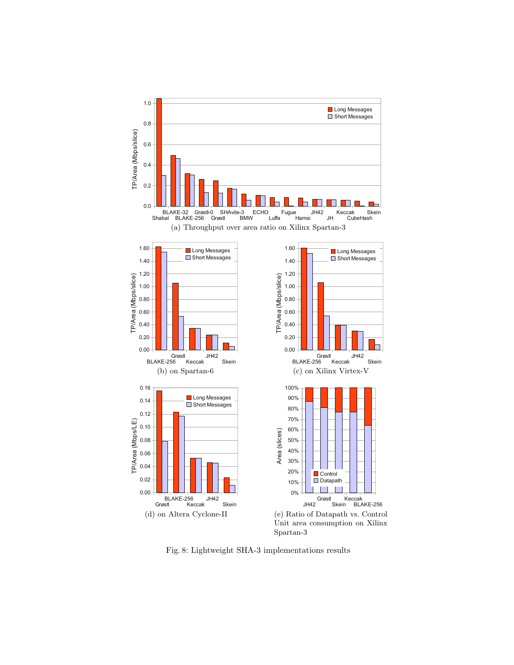

Fig. 8: Lightweight SHA-3 implementations results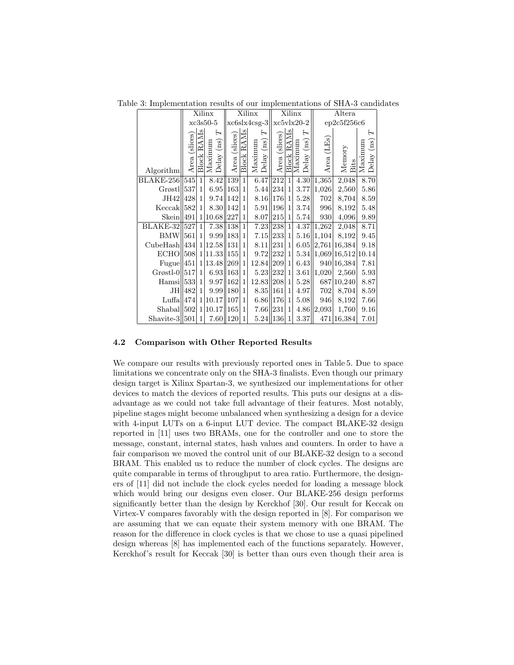Table 3: Implementation results of our implementations of SHA-3 candidates

|                         |                  | Xilinx            |                                                             |               |                   | Xilinx                                |                  |                   | Xilinx                                                          |               | Altera                   |                                                      |
|-------------------------|------------------|-------------------|-------------------------------------------------------------|---------------|-------------------|---------------------------------------|------------------|-------------------|-----------------------------------------------------------------|---------------|--------------------------|------------------------------------------------------|
|                         |                  |                   | $xc3s50-5$                                                  |               |                   | xc6slx4csg-3                          |                  |                   | $xc5v1x20-2$                                                    |               | ep2c5f256c6              |                                                      |
| Algorithm               | (slices)<br>Area | <b>Block RAMs</b> | Η<br>$\left( \mathrm{ns}\right)$<br>Maximum<br>$\rm{Delay}$ | Area (slices) | <b>Block RAMs</b> | H<br>$\left($ ns)<br>Maximum<br>Delay | Area (slices)    | <b>Block RAMs</b> | $\mathbf{r}$<br>$\left( \mathrm{ns}\right)$<br>Maximum<br>Delay | (LEs)<br>Area | Memory<br><b>Bits</b>    | Н<br>$\left( \mathrm{ns}\right)$<br>Maximum<br>Delay |
| BLAKE-256               | 545              | $\mathbf{1}$      | 8.42                                                        | 139           | $\mathbf{1}$      | 6.47                                  | $\overline{212}$ | $\mathbf{1}$      | $\overline{4.30}$                                               | 1,365         | 2,048                    | 8.70                                                 |
| Grøstl                  | 537              | $\mathbf{1}$      | 6.95  163                                                   |               | $\mathbf{1}$      | 5.44                                  | 234              | $\mathbf{1}$      | 3.77                                                            | 1,026         | 2,560                    | 5.86                                                 |
| JH42 428                |                  | $\mathbf{1}$      | 9.74 142                                                    |               | $\mathbf{1}$      | 8.16                                  | <b>176</b>       | $\mathbf{1}$      | 5.28                                                            | 702           | 8,704                    | 8.59                                                 |
| $Keccak$ 582            |                  | $\mathbf{1}$      | 8.30  142                                                   |               | $\mathbf{1}$      | 5.91                                  | <b>196</b>       | 1                 | 3.74                                                            | 996           | 8,192                    | 5.48                                                 |
| Skein  491              |                  |                   | 1 10.68 227                                                 |               | $\mathbf{1}$      | 8.07                                  | 215              | $\mathbf{1}$      | 5.74                                                            | 930           | 4,096                    | 9.89                                                 |
| <b>BLAKE-32</b> 527     |                  | $\mathbf{1}$      | 7.38 138                                                    |               | $\mathbf{1}$      | 7.23                                  | 238              | $\mathbf{1}$      | 4.37                                                            | 1,262         | 2,048                    | 8.71                                                 |
| <b>BMW</b>              | 561              | $\mathbf{1}$      | $9.99$   183                                                |               | $\mathbf{1}$      | 7.15                                  | 233              | $\mathbf{1}$      | 5.16                                                            | 1,104         | 8,192                    | 9.45                                                 |
| CubeHash  434           |                  |                   | 1 12.58  131                                                |               | 1                 | 8.11                                  | 231              | $\mathbf{1}$      | 6.05                                                            |               | 2,761 16,384             | 9.18                                                 |
| $ECHO$   508            |                  |                   | 1 11.33  155                                                |               | $\mathbf{1}$      | 9.72                                  | 232 1            |                   |                                                                 |               | 5.34  1,069 16,512 10.14 |                                                      |
| Fugue $ 451$            |                  |                   | 1 13.48  269                                                |               | $\mathbf{1}$      | 12.84                                 | 209              | 1                 | 6.43                                                            |               | 940 16,384               | 7.81                                                 |
| $Grøstl-0  517$         |                  | $\mathbf{1}$      | $6.93$   163                                                |               | $\mathbf{1}$      | 5.23                                  | 232              | $\mathbf{1}$      | 3.61                                                            | 1,020         | 2,560                    | 5.93                                                 |
| $\text{Hamsi} \sim 533$ |                  | $\mathbf{1}$      | $9.97$   162                                                |               | $\mathbf{1}$      | 12.83                                 | 208              | $\mathbf{1}$      | 5.28                                                            |               | 687 10,240               | 8.87                                                 |
| JH                      | 482              | $\mathbf{1}$      | 9.99 180                                                    |               | 1                 | 8.35                                  | 161              | $\mathbf{1}$      | 4.97                                                            | 702           | 8,704                    | 8.59                                                 |
| $Luffa$ 474             |                  |                   | 1 10.17  107                                                |               | 1                 | 6.86                                  | 176              | 1                 | 5.08                                                            | 946           | 8,192                    | 7.66                                                 |
| $Shabal$   502          |                  | $\mathbf{1}$      | 10.17  165                                                  |               | $\mathbf{1}$      | 7.66                                  | 231              | $\mathbf{1}$      | 4.86                                                            | 2,093         | 1,760                    | 9.16                                                 |
| Shavite- $3  501 $      |                  | 1                 | 7.60  120                                                   |               | $\mathbf{1}$      | 5.24                                  | 136              | 1                 | 3.37                                                            |               | 471 16,384               | 7.01                                                 |

## 4.2 Comparison with Other Reported Results

We compare our results with previously reported ones in Table 5. Due to space limitations we concentrate only on the SHA-3 finalists. Even though our primary design target is Xilinx Spartan-3, we synthesized our implementations for other devices to match the devices of reported results. This puts our designs at a disadvantage as we could not take full advantage of their features. Most notably, pipeline stages might become unbalanced when synthesizing a design for a device with 4-input LUTs on a 6-input LUT device. The compact BLAKE-32 design reported in [11] uses two BRAMs, one for the controller and one to store the message, constant, internal states, hash values and counters. In order to have a fair comparison we moved the control unit of our BLAKE-32 design to a second BRAM. This enabled us to reduce the number of clock cycles. The designs are quite comparable in terms of throughput to area ratio. Furthermore, the designers of [11] did not include the clock cycles needed for loading a message block which would bring our designs even closer. Our BLAKE-256 design performs significantly better than the design by Kerckhof [30]. Our result for Keccak on Virtex-V compares favorably with the design reported in [8]. For comparison we are assuming that we can equate their system memory with one BRAM. The reason for the difference in clock cycles is that we chose to use a quasi pipelined design whereas [8] has implemented each of the functions separately. However, Kerckhof's result for Keccak [30] is better than ours even though their area is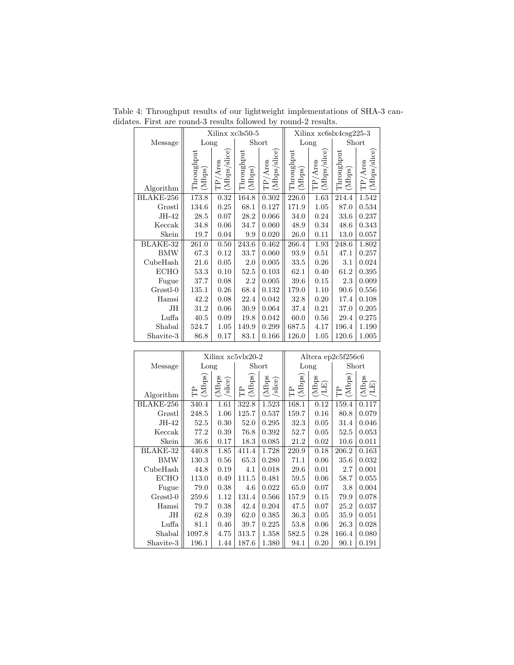|             |                         |                            | Xilinx xc3s50-5                       |                            | Xilinx xc6slx4csg225-3 |                            |                      |                            |  |  |
|-------------|-------------------------|----------------------------|---------------------------------------|----------------------------|------------------------|----------------------------|----------------------|----------------------------|--|--|
| Message     | Long                    |                            |                                       | Short                      | Long                   |                            |                      | Short                      |  |  |
| Algorithm   | $T$ hroughput<br>(Mbps) | (Mbps/slice)<br>$TP/A$ rea | $\operatorname{Throughout}$<br>(Mbps) | (Mbps/slice)<br>$TP/A$ rea | Throughout<br>(Mbps)   | (Mbps/slice)<br>$TP/A$ rea | Throughout<br>(Mbps) | (Mbps/slice)<br>$TP/A$ rea |  |  |
| BLAKE-256   | 173.8                   | 0.32                       | 164.8                                 | 0.302                      | 226.0                  | 1.63                       | 214.4                | 1.542                      |  |  |
| Grøstl      | 134.6                   | 0.25                       | 68.1                                  | 0.127                      | 171.9                  | 1.05                       | 87.0                 | 0.534                      |  |  |
| JH-42       | 28.5                    | 0.07                       | 28.2                                  | 0.066                      | 34.0                   | 0.24                       | 33.6                 | 0.237                      |  |  |
| Keccak      | 34.8                    | 0.06                       | 34.7                                  | 0.060                      | 48.9                   | 0.34                       | 48.6                 | 0.343                      |  |  |
| Skein       | 19.7                    | 0.04                       | 9.9                                   | 0.020                      | 26.0                   | 0.11                       | 13.0                 | 0.057                      |  |  |
| BLAKE-32    | 261.0                   | 0.50                       | 243.6                                 | 0.462                      | 266.4                  | 1.93                       | 248.6                | 1.802                      |  |  |
| <b>BMW</b>  | 67.3                    | 0.12                       | 33.7                                  | 0.060                      | 93.9                   | 0.51                       | 47.1                 | 0.257                      |  |  |
| CubeHash    | 21.6                    | 0.05                       | 2.0                                   | 0.005                      | 33.5                   | 0.26                       | 3.1                  | 0.024                      |  |  |
| <b>ECHO</b> | 53.3                    | 0.10                       | 52.5                                  | 0.103                      | 62.1                   | 0.40                       | 61.2                 | 0.395                      |  |  |
| Fugue       | 37.7                    | 0.08                       | 2.2                                   | 0.005                      | 39.6                   | 0.15                       | 2.3                  | 0.009                      |  |  |
| Grøstl-0    | 135.1                   | 0.26                       | 68.4                                  | 0.132                      | 179.0                  | 1.10                       | 90.6                 | 0.556                      |  |  |
| Hamsi       | 42.2                    | 0.08                       | 22.4                                  | 0.042                      | 32.8                   | 0.20                       | 17.4                 | 0.108                      |  |  |
| <b>JH</b>   | 31.2                    | 0.06                       | 30.9                                  | 0.064                      | 37.4                   | 0.21                       | 37.0                 | 0.205                      |  |  |
| Luffa       | 40.5                    | 0.09                       | 19.8                                  | 0.042                      | 60.0                   | 0.56                       | 29.4                 | 0.275                      |  |  |
| Shabal      | 524.7                   | 1.05                       | 149.9                                 | 0.299                      | 687.5                  | 4.17                       | 196.4                | 1.190                      |  |  |
| Shavite-3   | 86.8                    | 0.17                       | 83.1                                  | 0.166                      | 126.0                  | 1.05                       | 120.6                | 1.005                      |  |  |

Table 4: Throughput results of our lightweight implementations of SHA-3 candidates. First are round-3 results followed by round-2 results.

|             |             |                  | Xilinx xc5vlx20-2 |                 |             |                               | Altera ep2c5f256c6 |                                                                 |
|-------------|-------------|------------------|-------------------|-----------------|-------------|-------------------------------|--------------------|-----------------------------------------------------------------|
| Message     | Long        |                  |                   | Short           |             | Long                          |                    | Short                                                           |
| Algorithm   | (Mbps)<br>욥 | (Mbps<br>/slice) | (Mbps)<br>È       | (Mbps<br>slice) | (Mbps)<br>임 | $\frac{\rm (Mbps)}{\rm (LE)}$ | (Mbps)<br>욥        | $\begin{array}{c} \mathrm{(Mbps)} \\ \mathrm{(LE)} \end{array}$ |
| BLAKE-256   | 340.4       | 1.61             | 322.8             | 1.523           | 168.1       | 0.12                          | 159.4              | 0.117                                                           |
| Grøstl      | 248.5       | 1.06             | 125.7             | 0.537           | 159.7       | 0.16                          | 80.8               | 0.079                                                           |
| JH-42       | 52.5        | 0.30             | 52.0              | 0.295           | 32.3        | 0.05                          | 31.4               | 0.046                                                           |
| Keccak      | 77.2        | 0.39             | 76.8              | 0.392           | 52.7        | 0.05                          | 52.5               | 0.053                                                           |
| Skein       | 36.6        | 0.17             | 18.3              | 0.085           | 21.2        | 0.02                          | 10.6               | 0.011                                                           |
| BLAKE-32    | 440.8       | 1.85             | 411.4             | 1.728           | 220.9       | 0.18                          | 206.2              | 0.163                                                           |
| <b>BMW</b>  | 130.3       | 0.56             | 65.3              | 0.280           | 71.1        | 0.06                          | 35.6               | 0.032                                                           |
| CubeHash    | 44.8        | 0.19             | 4.1               | 0.018           | 29.6        | 0.01                          | 2.7                | 0.001                                                           |
| <b>ECHO</b> | 113.0       | 0.49             | 111.5             | 0.481           | 59.5        | 0.06                          | 58.7               | 0.055                                                           |
| Fugue       | 79.0        | 0.38             | 4.6               | 0.022           | 65.0        | 0.07                          | 3.8                | 0.004                                                           |
| $G$ røstl-0 | 259.6       | 1.12             | 131.4             | 0.566           | 157.9       | 0.15                          | 79.9               | 0.078                                                           |
| Hamsi       | 79.7        | 0.38             | 42.4              | 0.204           | 47.5        | 0.07                          | 25.2               | 0.037                                                           |
| JН          | 62.8        | 0.39             | 62.0              | 0.385           | 36.3        | 0.05                          | 35.9               | 0.051                                                           |
| Luffa       | 81.1        | 0.46             | 39.7              | 0.225           | 53.8        | 0.06                          | 26.3               | 0.028                                                           |
| Shabal      | 1097.8      | 4.75             | 313.7             | 1.358           | 582.5       | 0.28                          | 166.4              | 0.080                                                           |
| Shavite-3   | 196.1       | 1.44             | 187.6             | 1.380           | 94.1        | 0.20                          | 90.1               | 0.191                                                           |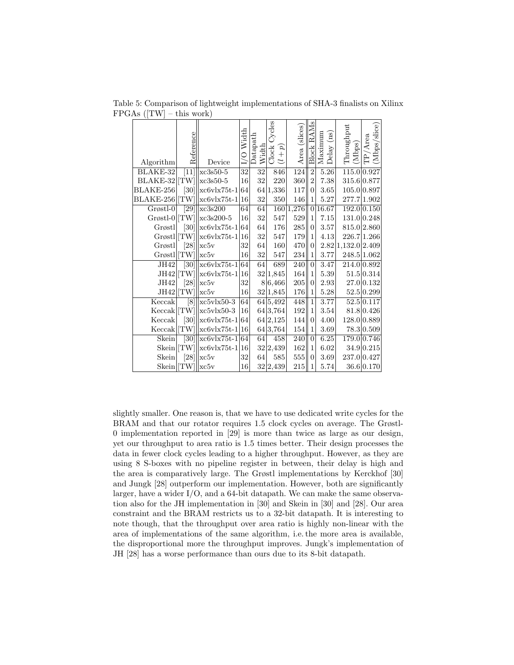| Algorithm       | Reference       | Device                            | I/O Width | Datapath<br>Width | Cycles<br>Clock<br>$(l+p)$ | Area (slices) | AMs<br>₫<br><b>Block</b> | Maximum<br>$\left( \frac{\text{as}}{\text{as}} \right)$<br>Delay | Throughput<br>(Mbps) | (Mbps/slice)<br>TP/Area |
|-----------------|-----------------|-----------------------------------|-----------|-------------------|----------------------------|---------------|--------------------------|------------------------------------------------------------------|----------------------|-------------------------|
| BLAKE-32        | $[11]$          | $xc3s50-5$                        | 32        | 32                | 846                        | 124           | $\sqrt{2}$               | $5.26\,$                                                         |                      | 115.0 0.927             |
| BLAKE-32        | [TW]            | $xc3s50-5$                        | 16        | 32                | 220                        | 360           | $\overline{2}$           | 7.38                                                             | 315.6 0.877          |                         |
| BLAKE-256       |                 | $[30]$ xc6vlx75t-1                | 64        |                   | 64 1,336                   | $117\,$       | $\overline{0}$           | 3.65                                                             |                      | 105.0 0.897             |
| BLAKE-256       | $ \text{TW} $   | $\vert xcbv1x75t-1 \vert$         | 16        | $32\,$            | 350                        | 146           | $\mathbf{1}$             | 5.27                                                             |                      | 277.7 1.902             |
| Grøstl-0        | [29]            | xc3s200                           | 64        | 64                | 160                        | 1,276         | $\vert 0 \vert$          | 16.67                                                            |                      | 192.0 0.150             |
| $Grøstl-0$ [TW] |                 | $xc3s200-5$                       | 16        | 32                | 547                        | 529           | $\mathbf{1}$             | 7.15                                                             |                      | 131.0 0.248             |
| Grøstl          |                 | $[30]$ xc6vlx75t-1                | 64        | 64                | 176                        | $\bf 285$     | $\overline{0}$           | 3.57                                                             |                      | 815.0 2.860             |
|                 |                 | Grøstl [TW]  xc6vlx75t-1          | 16        | 32                | 547                        | 179           | $\mathbf{1}$             | 4.13                                                             |                      | 226.7 1.266             |
| Grøstl          |                 | $[28]$ $\sqrt{25}$                | 32        | 64                | 160                        | 470           | $\overline{0}$           |                                                                  | 2.82 1,132.0 2.409   |                         |
| $Grøstl$ [TW]   |                 | xc5y                              | 16        | 32                | 547                        | 234           | $\mathbf{1}$             | 3.77                                                             |                      | 248.5 1.062             |
| JH42            | $\overline{30}$ | $\vert xcbv \vert x75t-1\vert 64$ |           | 64                | 689                        | 240           | $\overline{0}$           | 3.47                                                             |                      | 214.0 0.892             |
|                 |                 | $JH42$ [TW]]xc6vlx75t-1           | 16        |                   | 32 1,845                   | 164           | $\mathbf{1}$             | 5.39                                                             |                      | 51.5 0.314              |
| JH42            |                 | $[28]$ $\sqrt{25}$                | 32        |                   | 8 6,466                    | $205\,$       | $\overline{0}$           | 2.93                                                             |                      | 27.0 0.132              |
| JH42  [TW]      |                 | $\vert$ xc5v                      | 16        |                   | 32 1,845                   | 176           | $\mathbf{1}$             | 5.28                                                             |                      | 52.5 0.299              |
| Keccak          | [8]             | $xcbv1x50-3$                      | 64        |                   | $\sqrt{64}$ 5,492          | 448           | $\mathbf{1}$             | 3.77                                                             |                      | 52.5 0.117              |
|                 |                 | $Keccak$  TW]  xc5vlx50-3         | 16        |                   | 64 3,764                   | $192\,$       | $\mathbf{1}$             | $3.54\,$                                                         |                      | 81.8 0.426              |
| Keccak          |                 | $[30]$  xc6vlx75t-1 64            |           |                   | 64 2,125                   | 144           | $\overline{0}$           | 4.00                                                             |                      | 128.0 0.889             |
| Keccak          | [TW]            | $xc6v1x75t-1$                     | 16        |                   | 64 3,764                   | 154           | 1                        | $3.69\,$                                                         |                      | 78.3 0.509              |
| Skein           | $\overline{30}$ | $\vert xcbv \vert x75t-1\vert 64$ |           | 64                | 458                        | 240           | $\overline{0}$           | 6.25                                                             |                      | 179.0 0.746             |
| Skein  [TW]     |                 | $xc6v1x75t-1$                     | 16        |                   | 32 2,439                   | 162           | 1                        | 6.02                                                             |                      | 34.9 0.215              |
| Skein           |                 | $[28]$ $\sqrt{25}$                | 32        | 64                | 585                        | $555\,$       | $\overline{0}$           | 3.69                                                             |                      | 237.0 0.427             |
| Skein TW        |                 | $\Vert$ xc5v                      | 16        |                   | 32 2,439                   | $215\,$       | $\mathbf{1}$             | 5.74                                                             |                      | 36.6 0.170              |

Table 5: Comparison of lightweight implementations of SHA-3 finalists on Xilinx  $FPGAs$  ( $|TW|$  – this work)

slightly smaller. One reason is, that we have to use dedicated write cycles for the BRAM and that our rotator requires 1.5 clock cycles on average. The Grøstl-0 implementation reported in [29] is more than twice as large as our design, yet our throughput to area ratio is 1.5 times better. Their design processes the data in fewer clock cycles leading to a higher throughput. However, as they are using 8 S-boxes with no pipeline register in between, their delay is high and the area is comparatively large. The Grøstl implementations by Kerckhof [30] and Jungk [28] outperform our implementation. However, both are significantly larger, have a wider I/O, and a 64-bit datapath. We can make the same observation also for the JH implementation in [30] and Skein in [30] and [28]. Our area constraint and the BRAM restricts us to a 32-bit datapath. It is interesting to note though, that the throughput over area ratio is highly non-linear with the area of implementations of the same algorithm, i.e. the more area is available, the disproportional more the throughput improves. Jungk's implementation of JH [28] has a worse performance than ours due to its 8-bit datapath.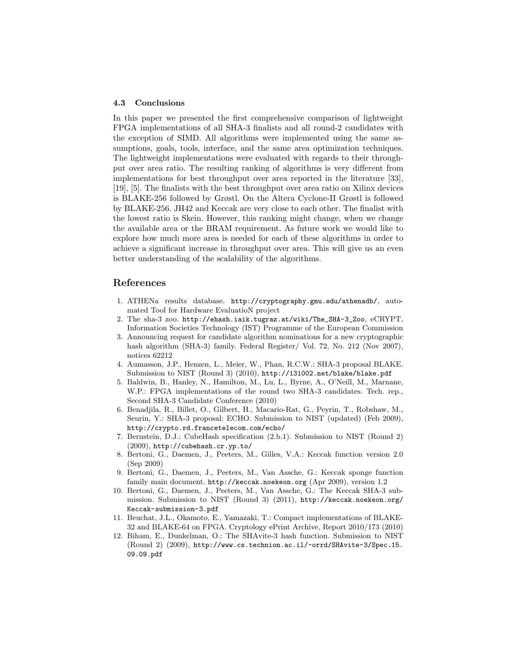#### 4.3 Conclusions

In this paper we presented the first comprehensive comparison of lightweight FPGA implementations of all SHA-3 finalists and all round-2 candidates with the exception of SIMD. All algorithms were implemented using the same assumptions, goals, tools, interface, and the same area optimization techniques. The lightweight implementations were evaluated with regards to their throughput over area ratio. The resulting ranking of algorithms is very different from implementations for best throughput over area reported in the literature [33], [19], [5]. The finalists with the best throughput over area ratio on Xilinx devices is BLAKE-256 followed by Grøstl. On the Altera Cyclone-II Grøstl is followed by BLAKE-256. JH42 and Keccak are very close to each other. The finalist with the lowest ratio is Skein. However, this ranking might change, when we change the available area or the BRAM requirement. As future work we would like to explore how much more area is needed for each of these algorithms in order to achieve a significant increase in throughput over area. This will give us an even better understanding of the scalability of the algorithms.

# References

- 1. ATHENa results database. http://cryptography.gmu.edu/athenadb/, automated Tool for Hardware EvaluatioN project
- 2. The sha-3 zoo. http://ehash.iaik.tugraz.at/wiki/The\_SHA-3\_Zoo, eCRYPT, Information Societies Technology (IST) Programme of the European Commission
- 3. Announcing request for candidate algorithm nominations for a new cryptographic hash algorithm (SHA-3) family. Federal Register/ Vol. 72, No. 212 (Nov 2007), notices 62212
- 4. Aumasson, J.P., Henzen, L., Meier, W., Phan, R.C.W.: SHA-3 proposal BLAKE. Submission to NIST (Round 3) (2010), http://131002.net/blake/blake.pdf
- 5. Baldwin, B., Hanley, N., Hamilton, M., Lu, L., Byrne, A., O'Neill, M., Marnane, W.P.: FPGA implementations of the round two SHA-3 candidates. Tech. rep., Second SHA-3 Candidate Conference (2010)
- 6. Benadjila, R., Billet, O., Gilbert, H., Macario-Rat, G., Peyrin, T., Robshaw, M., Seurin, Y.: SHA-3 proposal: ECHO. Submission to NIST (updated) (Feb 2009), http://crypto.rd.francetelecom.com/echo/
- 7. Bernstein, D.J.: CubeHash specification (2.b.1). Submission to NIST (Round 2) (2009), http://cubehash.cr.yp.to/
- 8. Bertoni, G., Daemen, J., Peeters, M., Gilles, V.A.: Keccak function version 2.0 (Sep 2009)
- 9. Bertoni, G., Daemen, J., Peeters, M., Van Assche, G.: Keccak sponge function family main document. http://keccak.noekeon.org (Apr 2009), version 1.2
- 10. Bertoni, G., Daemen, J., Peeters, M., Van Assche, G.: The Keccak SHA-3 submission. Submission to NIST (Round 3) (2011), http://keccak.noekeon.org/ Keccak-submission-3.pdf
- 11. Beuchat, J.L., Okamoto, E., Yamazaki, T.: Compact implementations of BLAKE-32 and BLAKE-64 on FPGA. Cryptology ePrint Archive, Report 2010/173 (2010)
- 12. Biham, E., Dunkelman, O.: The SHAvite-3 hash function. Submission to NIST (Round 2) (2009), http://www.cs.technion.ac.il/~orrd/SHAvite-3/Spec.15. 09.09.pdf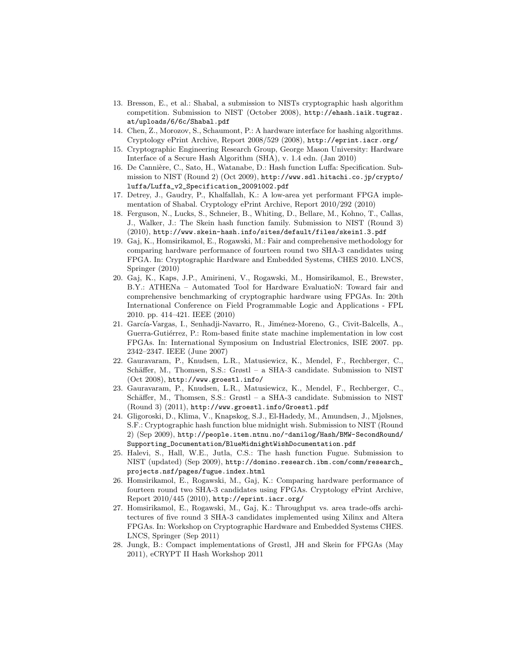- 13. Bresson, E., et al.: Shabal, a submission to NISTs cryptographic hash algorithm competition. Submission to NIST (October 2008), http://ehash.iaik.tugraz. at/uploads/6/6c/Shabal.pdf
- 14. Chen, Z., Morozov, S., Schaumont, P.: A hardware interface for hashing algorithms. Cryptology ePrint Archive, Report 2008/529 (2008), http://eprint.iacr.org/
- 15. Cryptographic Engineering Research Group, George Mason University: Hardware Interface of a Secure Hash Algorithm (SHA), v. 1.4 edn. (Jan 2010)
- 16. De Cannière, C., Sato, H., Watanabe, D.: Hash function Luffa: Specification. Submission to NIST (Round 2) (Oct 2009), http://www.sdl.hitachi.co.jp/crypto/ luffa/Luffa\_v2\_Specification\_20091002.pdf
- 17. Detrey, J., Gaudry, P., Khalfallah, K.: A low-area yet performant FPGA implementation of Shabal. Cryptology ePrint Archive, Report 2010/292 (2010)
- 18. Ferguson, N., Lucks, S., Schneier, B., Whiting, D., Bellare, M., Kohno, T., Callas, J., Walker, J.: The Skein hash function family. Submission to NIST (Round 3) (2010), http://www.skein-hash.info/sites/default/files/skein1.3.pdf
- 19. Gaj, K., Homsirikamol, E., Rogawski, M.: Fair and comprehensive methodology for comparing hardware performance of fourteen round two SHA-3 candidates using FPGA. In: Cryptographic Hardware and Embedded Systems, CHES 2010. LNCS, Springer (2010)
- 20. Gaj, K., Kaps, J.P., Amirineni, V., Rogawski, M., Homsirikamol, E., Brewster, B.Y.: ATHENa – Automated Tool for Hardware EvaluatioN: Toward fair and comprehensive benchmarking of cryptographic hardware using FPGAs. In: 20th International Conference on Field Programmable Logic and Applications - FPL 2010. pp. 414–421. IEEE (2010)
- 21. García-Vargas, I., Senhadji-Navarro, R., Jiménez-Moreno, G., Civit-Balcells, A., Guerra-Gutiérrez, P.: Rom-based finite state machine implementation in low cost FPGAs. In: International Symposium on Industrial Electronics, ISIE 2007. pp. 2342–2347. IEEE (June 2007)
- 22. Gauravaram, P., Knudsen, L.R., Matusiewicz, K., Mendel, F., Rechberger, C., Schäffer, M., Thomsen, S.S.: Grøstl – a SHA-3 candidate. Submission to NIST (Oct 2008), http://www.groestl.info/
- 23. Gauravaram, P., Knudsen, L.R., Matusiewicz, K., Mendel, F., Rechberger, C., Schäffer, M., Thomsen, S.S.: Grøstl – a SHA-3 candidate. Submission to NIST (Round 3) (2011), http://www.groestl.info/Groestl.pdf
- 24. Gligoroski, D., Klima, V., Knapskog, S.J., El-Hadedy, M., Amundsen, J., Mjølsnes, S.F.: Cryptographic hash function blue midnight wish. Submission to NIST (Round 2) (Sep 2009), http://people.item.ntnu.no/~danilog/Hash/BMW-SecondRound/ Supporting\_Documentation/BlueMidnightWishDocumentation.pdf
- 25. Halevi, S., Hall, W.E., Jutla, C.S.: The hash function Fugue. Submission to NIST (updated) (Sep 2009), http://domino.research.ibm.com/comm/research\_ projects.nsf/pages/fugue.index.html
- 26. Homsirikamol, E., Rogawski, M., Gaj, K.: Comparing hardware performance of fourteen round two SHA-3 candidates using FPGAs. Cryptology ePrint Archive, Report 2010/445 (2010), http://eprint.iacr.org/
- 27. Homsirikamol, E., Rogawski, M., Gaj, K.: Throughput vs. area trade-offs architectures of five round 3 SHA-3 candidates implemented using Xilinx and Altera FPGAs. In: Workshop on Cryptographic Hardware and Embedded Systems CHES. LNCS, Springer (Sep 2011)
- 28. Jungk, B.: Compact implementations of Grøstl, JH and Skein for FPGAs (May 2011), eCRYPT II Hash Workshop 2011